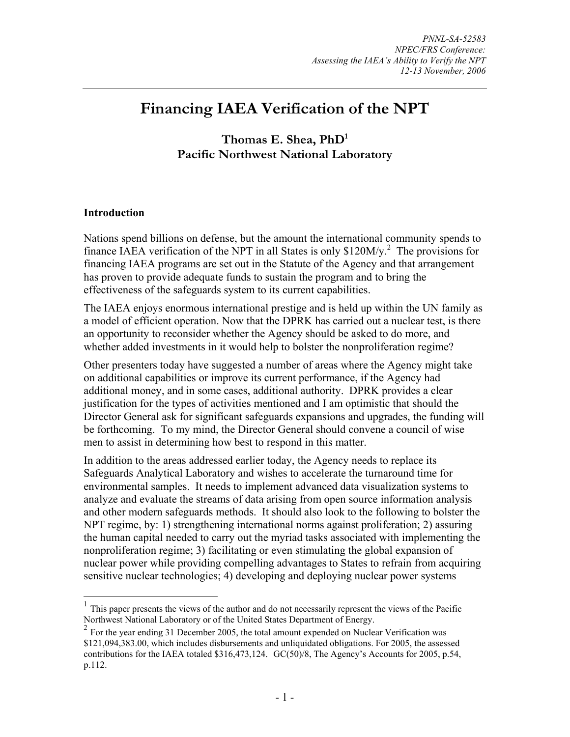# **Financing IAEA Verification of the NPT**

**Thomas E. Shea, PhD1 Pacific Northwest National Laboratory** 

#### **Introduction**

 $\overline{a}$ 

Nations spend billions on defense, but the amount the international community spends to finance IAEA verification of the NPT in all States is only  $$120M/y<sup>2</sup>$ . The provisions for financing IAEA programs are set out in the Statute of the Agency and that arrangement has proven to provide adequate funds to sustain the program and to bring the effectiveness of the safeguards system to its current capabilities.

The IAEA enjoys enormous international prestige and is held up within the UN family as a model of efficient operation. Now that the DPRK has carried out a nuclear test, is there an opportunity to reconsider whether the Agency should be asked to do more, and whether added investments in it would help to bolster the nonproliferation regime?

Other presenters today have suggested a number of areas where the Agency might take on additional capabilities or improve its current performance, if the Agency had additional money, and in some cases, additional authority. DPRK provides a clear justification for the types of activities mentioned and I am optimistic that should the Director General ask for significant safeguards expansions and upgrades, the funding will be forthcoming. To my mind, the Director General should convene a council of wise men to assist in determining how best to respond in this matter.

In addition to the areas addressed earlier today, the Agency needs to replace its Safeguards Analytical Laboratory and wishes to accelerate the turnaround time for environmental samples. It needs to implement advanced data visualization systems to analyze and evaluate the streams of data arising from open source information analysis and other modern safeguards methods. It should also look to the following to bolster the NPT regime, by: 1) strengthening international norms against proliferation; 2) assuring the human capital needed to carry out the myriad tasks associated with implementing the nonproliferation regime; 3) facilitating or even stimulating the global expansion of nuclear power while providing compelling advantages to States to refrain from acquiring sensitive nuclear technologies; 4) developing and deploying nuclear power systems

<sup>1</sup> This paper presents the views of the author and do not necessarily represent the views of the Pacific Northwest National Laboratory or of the United States Department of Energy.

<sup>&</sup>lt;sup>2</sup> For the year ending 31 December 2005, the total amount expended on Nuclear Verification was \$121,094,383.00, which includes disbursements and unliquidated obligations. For 2005, the assessed contributions for the IAEA totaled \$316,473,124. GC(50)/8, The Agency's Accounts for 2005, p.54, p.112.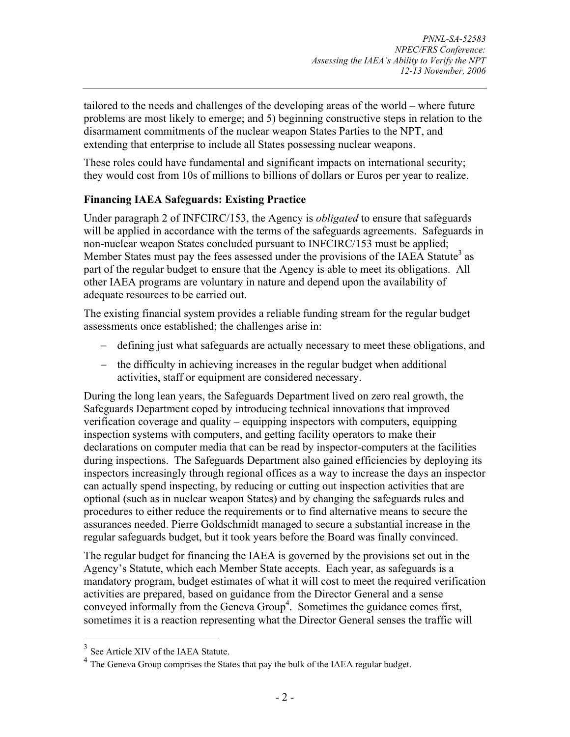tailored to the needs and challenges of the developing areas of the world – where future problems are most likely to emerge; and 5) beginning constructive steps in relation to the disarmament commitments of the nuclear weapon States Parties to the NPT, and extending that enterprise to include all States possessing nuclear weapons.

These roles could have fundamental and significant impacts on international security; they would cost from 10s of millions to billions of dollars or Euros per year to realize.

## **Financing IAEA Safeguards: Existing Practice**

Under paragraph 2 of INFCIRC/153, the Agency is *obligated* to ensure that safeguards will be applied in accordance with the terms of the safeguards agreements. Safeguards in non-nuclear weapon States concluded pursuant to INFCIRC/153 must be applied; Member States must pay the fees assessed under the provisions of the IAEA Statute<sup>3</sup> as part of the regular budget to ensure that the Agency is able to meet its obligations. All other IAEA programs are voluntary in nature and depend upon the availability of adequate resources to be carried out.

The existing financial system provides a reliable funding stream for the regular budget assessments once established; the challenges arise in:

- − defining just what safeguards are actually necessary to meet these obligations, and
- − the difficulty in achieving increases in the regular budget when additional activities, staff or equipment are considered necessary.

During the long lean years, the Safeguards Department lived on zero real growth, the Safeguards Department coped by introducing technical innovations that improved verification coverage and quality – equipping inspectors with computers, equipping inspection systems with computers, and getting facility operators to make their declarations on computer media that can be read by inspector-computers at the facilities during inspections. The Safeguards Department also gained efficiencies by deploying its inspectors increasingly through regional offices as a way to increase the days an inspector can actually spend inspecting, by reducing or cutting out inspection activities that are optional (such as in nuclear weapon States) and by changing the safeguards rules and procedures to either reduce the requirements or to find alternative means to secure the assurances needed. Pierre Goldschmidt managed to secure a substantial increase in the regular safeguards budget, but it took years before the Board was finally convinced.

The regular budget for financing the IAEA is governed by the provisions set out in the Agency's Statute, which each Member State accepts. Each year, as safeguards is a mandatory program, budget estimates of what it will cost to meet the required verification activities are prepared, based on guidance from the Director General and a sense conveyed informally from the Geneva Group<sup>4</sup>. Sometimes the guidance comes first, sometimes it is a reaction representing what the Director General senses the traffic will

 $\overline{a}$ 

<sup>&</sup>lt;sup>3</sup> See Article XIV of the IAEA Statute.

<sup>4</sup> The Geneva Group comprises the States that pay the bulk of the IAEA regular budget.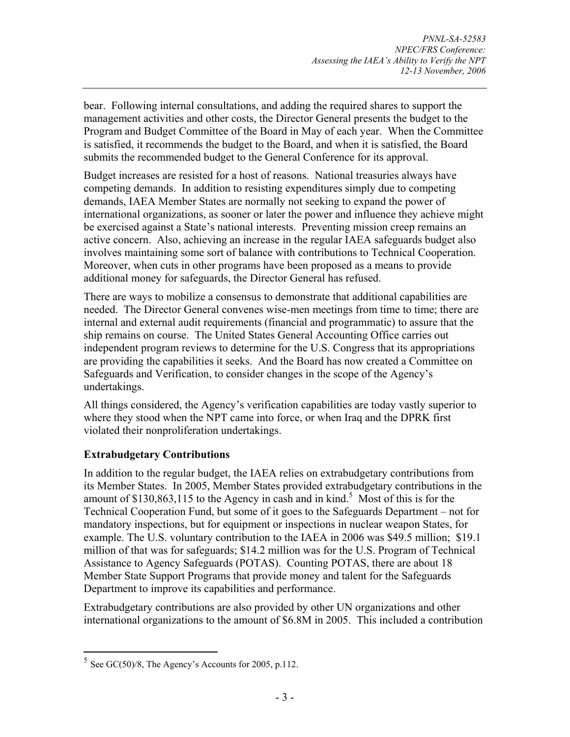bear. Following internal consultations, and adding the required shares to support the management activities and other costs, the Director General presents the budget to the Program and Budget Committee of the Board in May of each year. When the Committee is satisfied, it recommends the budget to the Board, and when it is satisfied, the Board submits the recommended budget to the General Conference for its approval.

Budget increases are resisted for a host of reasons. National treasuries always have competing demands. In addition to resisting expenditures simply due to competing demands, IAEA Member States are normally not seeking to expand the power of international organizations, as sooner or later the power and influence they achieve might be exercised against a State's national interests. Preventing mission creep remains an active concern. Also, achieving an increase in the regular IAEA safeguards budget also involves maintaining some sort of balance with contributions to Technical Cooperation. Moreover, when cuts in other programs have been proposed as a means to provide additional money for safeguards, the Director General has refused.

There are ways to mobilize a consensus to demonstrate that additional capabilities are needed. The Director General convenes wise-men meetings from time to time; there are internal and external audit requirements (financial and programmatic) to assure that the ship remains on course. The United States General Accounting Office carries out independent program reviews to determine for the U.S. Congress that its appropriations are providing the capabilities it seeks. And the Board has now created a Committee on Safeguards and Verification, to consider changes in the scope of the Agency's undertakings.

All things considered, the Agency's verification capabilities are today vastly superior to where they stood when the NPT came into force, or when Iraq and the DPRK first violated their nonproliferation undertakings.

## **Extrabudgetary Contributions**

In addition to the regular budget, the IAEA relies on extrabudgetary contributions from its Member States. In 2005, Member States provided extrabudgetary contributions in the amount of \$130,863,115 to the Agency in cash and in kind.<sup>5</sup> Most of this is for the Technical Cooperation Fund, but some of it goes to the Safeguards Department – not for mandatory inspections, but for equipment or inspections in nuclear weapon States, for example. The U.S. voluntary contribution to the IAEA in 2006 was \$49.5 million; \$19.1 million of that was for safeguards; \$14.2 million was for the U.S. Program of Technical Assistance to Agency Safeguards (POTAS). Counting POTAS, there are about 18 Member State Support Programs that provide money and talent for the Safeguards Department to improve its capabilities and performance.

Extrabudgetary contributions are also provided by other UN organizations and other international organizations to the amount of \$6.8M in 2005. This included a contribution

 $\overline{a}$ 

 $5$  See GC(50)/8, The Agency's Accounts for 2005, p.112.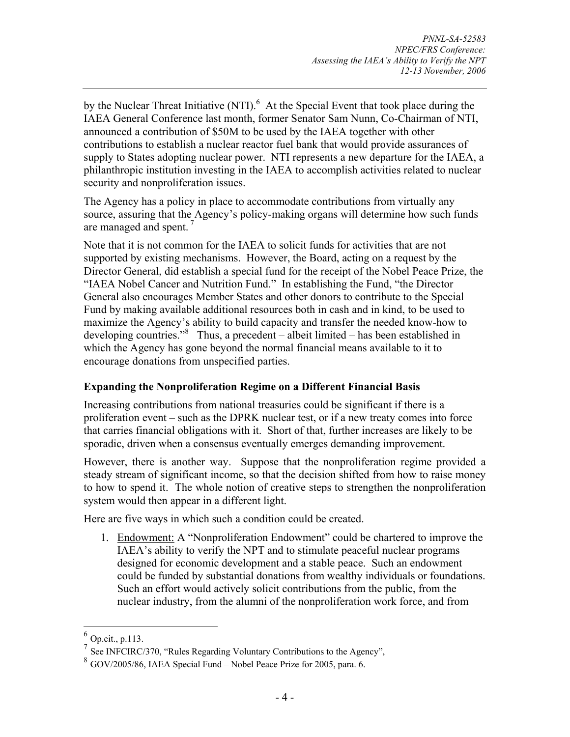by the Nuclear Threat Initiative (NTI). $<sup>6</sup>$  At the Special Event that took place during the</sup> IAEA General Conference last month, former Senator Sam Nunn, Co-Chairman of NTI, announced a contribution of \$50M to be used by the IAEA together with other contributions to establish a nuclear reactor fuel bank that would provide assurances of supply to States adopting nuclear power. NTI represents a new departure for the IAEA, a philanthropic institution investing in the IAEA to accomplish activities related to nuclear security and nonproliferation issues.

The Agency has a policy in place to accommodate contributions from virtually any source, assuring that the Agency's policy-making organs will determine how such funds are managed and spent.  $7$ 

Note that it is not common for the IAEA to solicit funds for activities that are not supported by existing mechanisms. However, the Board, acting on a request by the Director General, did establish a special fund for the receipt of the Nobel Peace Prize, the "IAEA Nobel Cancer and Nutrition Fund." In establishing the Fund, "the Director General also encourages Member States and other donors to contribute to the Special Fund by making available additional resources both in cash and in kind, to be used to maximize the Agency's ability to build capacity and transfer the needed know-how to developing countries."<sup>8</sup> Thus, a precedent – albeit limited – has been established in which the Agency has gone beyond the normal financial means available to it to encourage donations from unspecified parties.

## **Expanding the Nonproliferation Regime on a Different Financial Basis**

Increasing contributions from national treasuries could be significant if there is a proliferation event – such as the DPRK nuclear test, or if a new treaty comes into force that carries financial obligations with it. Short of that, further increases are likely to be sporadic, driven when a consensus eventually emerges demanding improvement.

However, there is another way. Suppose that the nonproliferation regime provided a steady stream of significant income, so that the decision shifted from how to raise money to how to spend it. The whole notion of creative steps to strengthen the nonproliferation system would then appear in a different light.

Here are five ways in which such a condition could be created.

1. Endowment: A "Nonproliferation Endowment" could be chartered to improve the IAEA's ability to verify the NPT and to stimulate peaceful nuclear programs designed for economic development and a stable peace. Such an endowment could be funded by substantial donations from wealthy individuals or foundations. Such an effort would actively solicit contributions from the public, from the nuclear industry, from the alumni of the nonproliferation work force, and from

 $\overline{a}$ 

<sup>6</sup> Op.cit., p.113.

 $\frac{7}{1}$  See INFCIRC/370, "Rules Regarding Voluntary Contributions to the Agency",

<sup>8</sup> GOV/2005/86, IAEA Special Fund – Nobel Peace Prize for 2005, para. 6.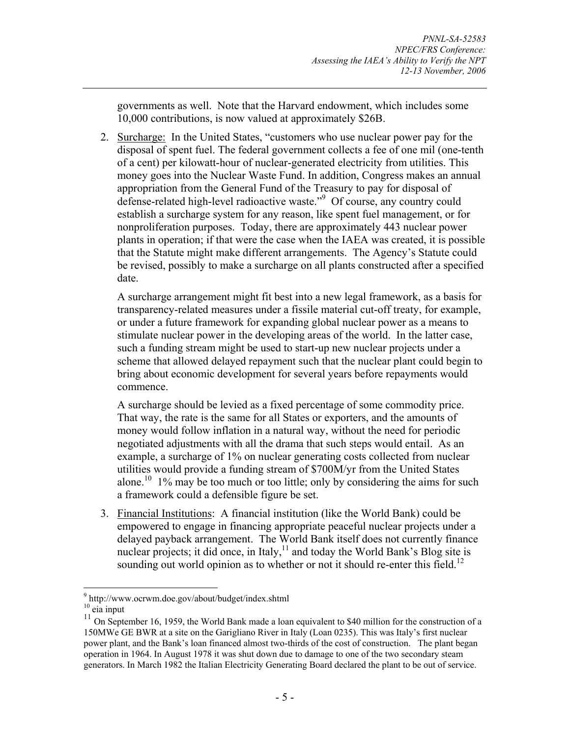governments as well. Note that the Harvard endowment, which includes some 10,000 contributions, is now valued at approximately \$26B.

2. Surcharge: In the United States, "customers who use nuclear power pay for the disposal of spent fuel. The federal government collects a fee of one mil (one-tenth of a cent) per kilowatt-hour of nuclear-generated electricity from utilities. This money goes into the Nuclear Waste Fund. In addition, Congress makes an annual appropriation from the General Fund of the Treasury to pay for disposal of defense-related high-level radioactive waste."9 Of course, any country could establish a surcharge system for any reason, like spent fuel management, or for nonproliferation purposes. Today, there are approximately 443 nuclear power plants in operation; if that were the case when the IAEA was created, it is possible that the Statute might make different arrangements. The Agency's Statute could be revised, possibly to make a surcharge on all plants constructed after a specified date.

A surcharge arrangement might fit best into a new legal framework, as a basis for transparency-related measures under a fissile material cut-off treaty, for example, or under a future framework for expanding global nuclear power as a means to stimulate nuclear power in the developing areas of the world. In the latter case, such a funding stream might be used to start-up new nuclear projects under a scheme that allowed delayed repayment such that the nuclear plant could begin to bring about economic development for several years before repayments would commence.

A surcharge should be levied as a fixed percentage of some commodity price. That way, the rate is the same for all States or exporters, and the amounts of money would follow inflation in a natural way, without the need for periodic negotiated adjustments with all the drama that such steps would entail. As an example, a surcharge of 1% on nuclear generating costs collected from nuclear utilities would provide a funding stream of \$700M/yr from the United States alone.<sup>10</sup> 1% may be too much or too little; only by considering the aims for such a framework could a defensible figure be set.

3. Financial Institutions: A financial institution (like the World Bank) could be empowered to engage in financing appropriate peaceful nuclear projects under a delayed payback arrangement. The World Bank itself does not currently finance nuclear projects; it did once, in Italy, $11$  and today the World Bank's Blog site is sounding out world opinion as to whether or not it should re-enter this field.<sup>12</sup>

<u>.</u>

<sup>9</sup> http://www.ocrwm.doe.gov/about/budget/index.shtml

 $10$  eia input

 $11$  On September 16, 1959, the World Bank made a loan equivalent to \$40 million for the construction of a 150MWe GE BWR at a site on the Garigliano River in Italy (Loan 0235). This was Italy's first nuclear power plant, and the Bank's loan financed almost two-thirds of the cost of construction. The plant began operation in 1964. In August 1978 it was shut down due to damage to one of the two secondary steam generators. In March 1982 the Italian Electricity Generating Board declared the plant to be out of service.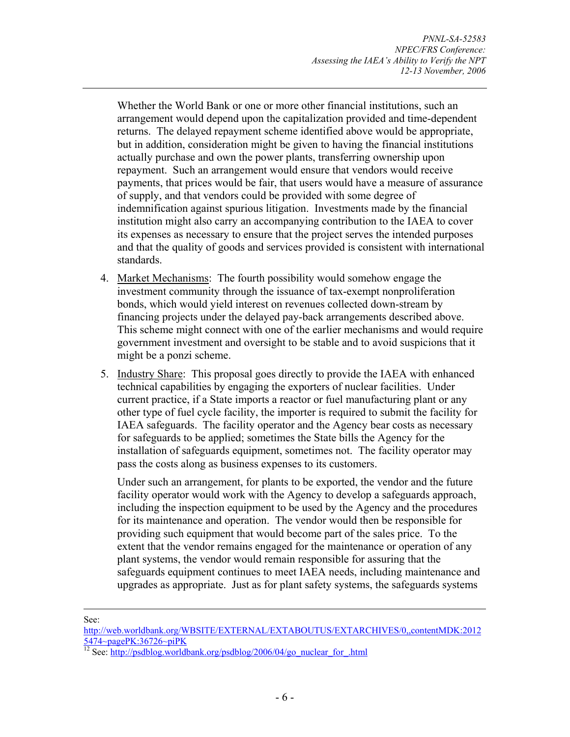Whether the World Bank or one or more other financial institutions, such an arrangement would depend upon the capitalization provided and time-dependent returns. The delayed repayment scheme identified above would be appropriate, but in addition, consideration might be given to having the financial institutions actually purchase and own the power plants, transferring ownership upon repayment. Such an arrangement would ensure that vendors would receive payments, that prices would be fair, that users would have a measure of assurance of supply, and that vendors could be provided with some degree of indemnification against spurious litigation. Investments made by the financial institution might also carry an accompanying contribution to the IAEA to cover its expenses as necessary to ensure that the project serves the intended purposes and that the quality of goods and services provided is consistent with international standards.

- 4. Market Mechanisms: The fourth possibility would somehow engage the investment community through the issuance of tax-exempt nonproliferation bonds, which would yield interest on revenues collected down-stream by financing projects under the delayed pay-back arrangements described above. This scheme might connect with one of the earlier mechanisms and would require government investment and oversight to be stable and to avoid suspicions that it might be a ponzi scheme.
- 5. Industry Share: This proposal goes directly to provide the IAEA with enhanced technical capabilities by engaging the exporters of nuclear facilities. Under current practice, if a State imports a reactor or fuel manufacturing plant or any other type of fuel cycle facility, the importer is required to submit the facility for IAEA safeguards. The facility operator and the Agency bear costs as necessary for safeguards to be applied; sometimes the State bills the Agency for the installation of safeguards equipment, sometimes not. The facility operator may pass the costs along as business expenses to its customers.

Under such an arrangement, for plants to be exported, the vendor and the future facility operator would work with the Agency to develop a safeguards approach, including the inspection equipment to be used by the Agency and the procedures for its maintenance and operation. The vendor would then be responsible for providing such equipment that would become part of the sales price. To the extent that the vendor remains engaged for the maintenance or operation of any plant systems, the vendor would remain responsible for assuring that the safeguards equipment continues to meet IAEA needs, including maintenance and upgrades as appropriate. Just as for plant safety systems, the safeguards systems

See:

http://web.worldbank.org/WBSITE/EXTERNAL/EXTABOUTUS/EXTARCHIVES/0,,contentMDK:2012 5474~pagePK:36726~piPK

<sup>&</sup>lt;sup>12</sup> See: http://psdblog.worldbank.org/psdblog/2006/04/go\_nuclear\_for\_.html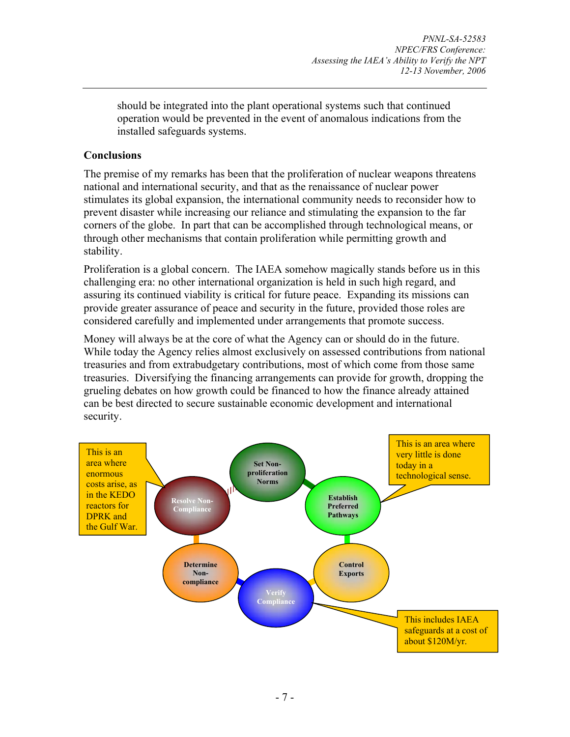should be integrated into the plant operational systems such that continued operation would be prevented in the event of anomalous indications from the installed safeguards systems.

#### **Conclusions**

The premise of my remarks has been that the proliferation of nuclear weapons threatens national and international security, and that as the renaissance of nuclear power stimulates its global expansion, the international community needs to reconsider how to prevent disaster while increasing our reliance and stimulating the expansion to the far corners of the globe. In part that can be accomplished through technological means, or through other mechanisms that contain proliferation while permitting growth and stability.

Proliferation is a global concern. The IAEA somehow magically stands before us in this challenging era: no other international organization is held in such high regard, and assuring its continued viability is critical for future peace. Expanding its missions can provide greater assurance of peace and security in the future, provided those roles are considered carefully and implemented under arrangements that promote success.

Money will always be at the core of what the Agency can or should do in the future. While today the Agency relies almost exclusively on assessed contributions from national treasuries and from extrabudgetary contributions, most of which come from those same treasuries. Diversifying the financing arrangements can provide for growth, dropping the grueling debates on how growth could be financed to how the finance already attained can be best directed to secure sustainable economic development and international security.